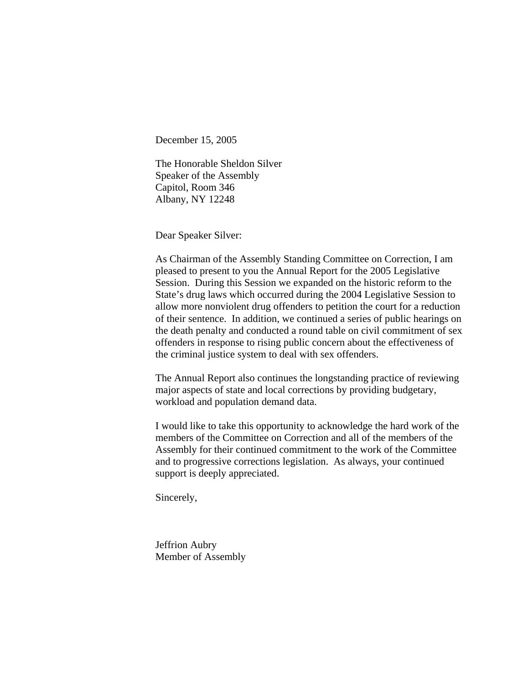December 15, 2005

The Honorable Sheldon Silver Speaker of the Assembly Capitol, Room 346 Albany, NY 12248

Dear Speaker Silver:

As Chairman of the Assembly Standing Committee on Correction, I am pleased to present to you the Annual Report for the 2005 Legislative Session. During this Session we expanded on the historic reform to the State's drug laws which occurred during the 2004 Legislative Session to allow more nonviolent drug offenders to petition the court for a reduction of their sentence. In addition, we continued a series of public hearings on the death penalty and conducted a round table on civil commitment of sex offenders in response to rising public concern about the effectiveness of the criminal justice system to deal with sex offenders.

The Annual Report also continues the longstanding practice of reviewing major aspects of state and local corrections by providing budgetary, workload and population demand data.

I would like to take this opportunity to acknowledge the hard work of the members of the Committee on Correction and all of the members of the Assembly for their continued commitment to the work of the Committee and to progressive corrections legislation. As always, your continued support is deeply appreciated.

Sincerely,

Jeffrion Aubry Member of Assembly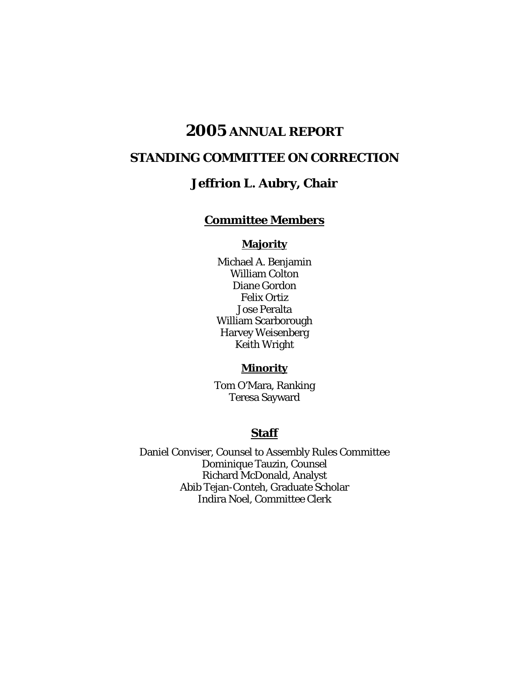# **2005 ANNUAL REPORT**

## **STANDING COMMITTEE ON CORRECTION**

## **Jeffrion L. Aubry, Chair**

## **Committee Members**

#### **Majority**

Michael A. Benjamin William Colton Diane Gordon Felix Ortiz Jose Peralta William Scarborough Harvey Weisenberg Keith Wright

## **Minority**

Tom O'Mara, Ranking Teresa Sayward

#### **Staff**

Daniel Conviser, Counsel to Assembly Rules Committee Dominique Tauzin, Counsel Richard McDonald, Analyst Abib Tejan-Conteh, Graduate Scholar Indira Noel, Committee Clerk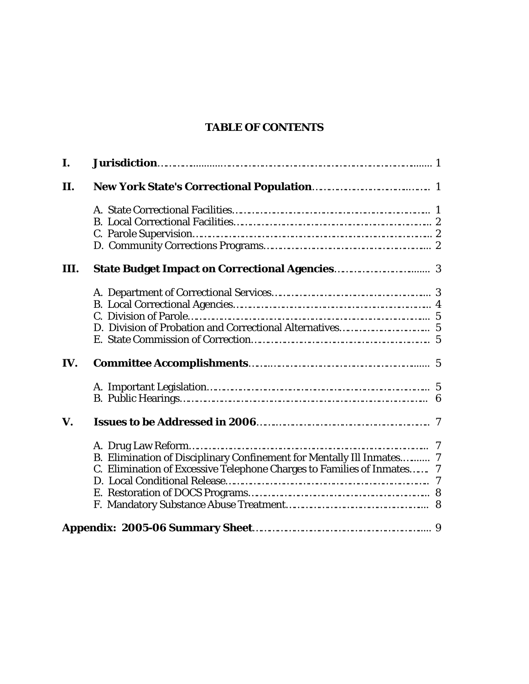## **TABLE OF CONTENTS**

| I.   |                                                                        |  |
|------|------------------------------------------------------------------------|--|
| П.   |                                                                        |  |
|      |                                                                        |  |
|      |                                                                        |  |
|      |                                                                        |  |
|      |                                                                        |  |
| III. |                                                                        |  |
|      |                                                                        |  |
|      |                                                                        |  |
|      |                                                                        |  |
|      |                                                                        |  |
|      |                                                                        |  |
| IV.  |                                                                        |  |
|      |                                                                        |  |
|      |                                                                        |  |
| V.   |                                                                        |  |
|      |                                                                        |  |
|      | B. Elimination of Disciplinary Confinement for Mentally Ill Inmates 7  |  |
|      | C. Elimination of Excessive Telephone Charges to Families of Inmates 7 |  |
|      |                                                                        |  |
|      |                                                                        |  |
|      |                                                                        |  |
|      |                                                                        |  |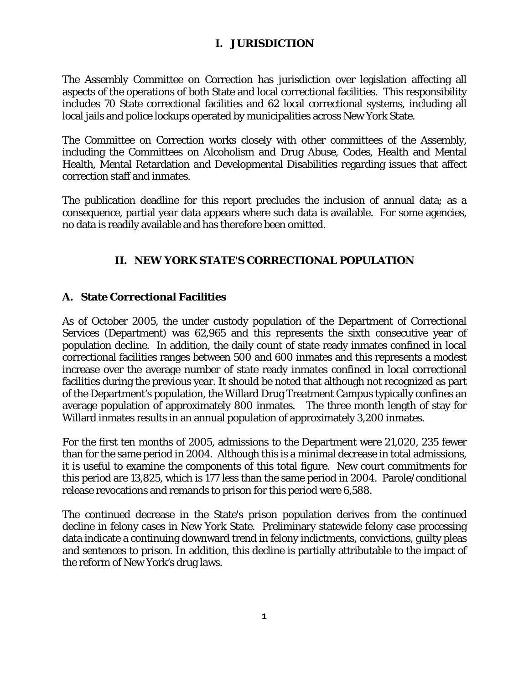#### **I. JURISDICTION**

The Assembly Committee on Correction has jurisdiction over legislation affecting all aspects of the operations of both State and local correctional facilities. This responsibility includes 70 State correctional facilities and 62 local correctional systems, including all local jails and police lockups operated by municipalities across New York State.

The Committee on Correction works closely with other committees of the Assembly, including the Committees on Alcoholism and Drug Abuse, Codes, Health and Mental Health, Mental Retardation and Developmental Disabilities regarding issues that affect correction staff and inmates.

The publication deadline for this report precludes the inclusion of annual data; as a consequence, partial year data appears where such data is available. For some agencies, no data is readily available and has therefore been omitted.

## **II. NEW YORK STATE'S CORRECTIONAL POPULATION**

## **A. State Correctional Facilities**

As of October 2005, the under custody population of the Department of Correctional Services (Department) was 62,965 and this represents the sixth consecutive year of population decline. In addition, the daily count of state ready inmates confined in local correctional facilities ranges between 500 and 600 inmates and this represents a modest increase over the average number of state ready inmates confined in local correctional facilities during the previous year. It should be noted that although not recognized as part of the Department's population, the Willard Drug Treatment Campus typically confines an average population of approximately 800 inmates. The three month length of stay for Willard inmates results in an annual population of approximately 3,200 inmates.

For the first ten months of 2005, admissions to the Department were 21,020, 235 fewer than for the same period in 2004. Although this is a minimal decrease in total admissions, it is useful to examine the components of this total figure. New court commitments for this period are 13,825, which is 177 less than the same period in 2004. Parole/conditional release revocations and remands to prison for this period were 6,588.

The continued decrease in the State's prison population derives from the continued decline in felony cases in New York State. Preliminary statewide felony case processing data indicate a continuing downward trend in felony indictments, convictions, guilty pleas and sentences to prison. In addition, this decline is partially attributable to the impact of the reform of New York's drug laws.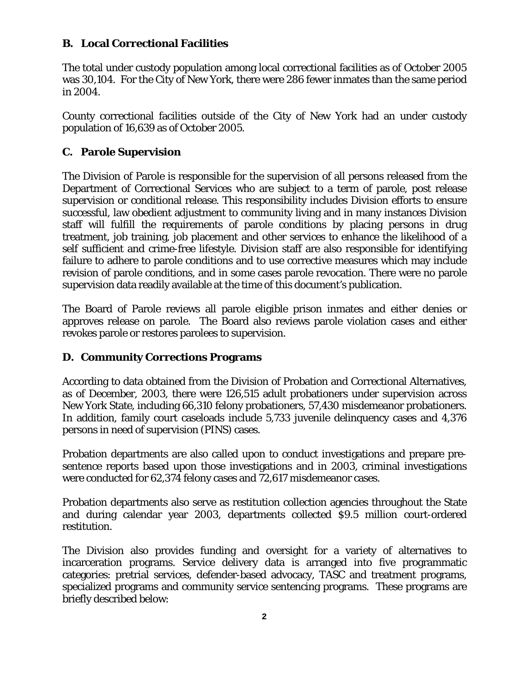#### **B. Local Correctional Facilities**

The total under custody population among local correctional facilities as of October 2005 was 30,104. For the City of New York, there were 286 fewer inmates than the same period in 2004.

County correctional facilities outside of the City of New York had an under custody population of 16,639 as of October 2005.

## **C. Parole Supervision**

The Division of Parole is responsible for the supervision of all persons released from the Department of Correctional Services who are subject to a term of parole, post release supervision or conditional release. This responsibility includes Division efforts to ensure successful, law obedient adjustment to community living and in many instances Division staff will fulfill the requirements of parole conditions by placing persons in drug treatment, job training, job placement and other services to enhance the likelihood of a self sufficient and crime-free lifestyle. Division staff are also responsible for identifying failure to adhere to parole conditions and to use corrective measures which may include revision of parole conditions, and in some cases parole revocation. There were no parole supervision data readily available at the time of this document's publication.

The Board of Parole reviews all parole eligible prison inmates and either denies or approves release on parole. The Board also reviews parole violation cases and either revokes parole or restores parolees to supervision.

#### **D. Community Corrections Programs**

According to data obtained from the Division of Probation and Correctional Alternatives, as of December, 2003, there were 126,515 adult probationers under supervision across New York State, including 66,310 felony probationers, 57,430 misdemeanor probationers. In addition, family court caseloads include 5,733 juvenile delinquency cases and 4,376 persons in need of supervision (PINS) cases.

Probation departments are also called upon to conduct investigations and prepare presentence reports based upon those investigations and in 2003, criminal investigations were conducted for 62,374 felony cases and 72,617 misdemeanor cases.

Probation departments also serve as restitution collection agencies throughout the State and during calendar year 2003, departments collected \$9.5 million court-ordered restitution.

The Division also provides funding and oversight for a variety of alternatives to incarceration programs. Service delivery data is arranged into five programmatic categories: pretrial services, defender-based advocacy, TASC and treatment programs, specialized programs and community service sentencing programs. These programs are briefly described below: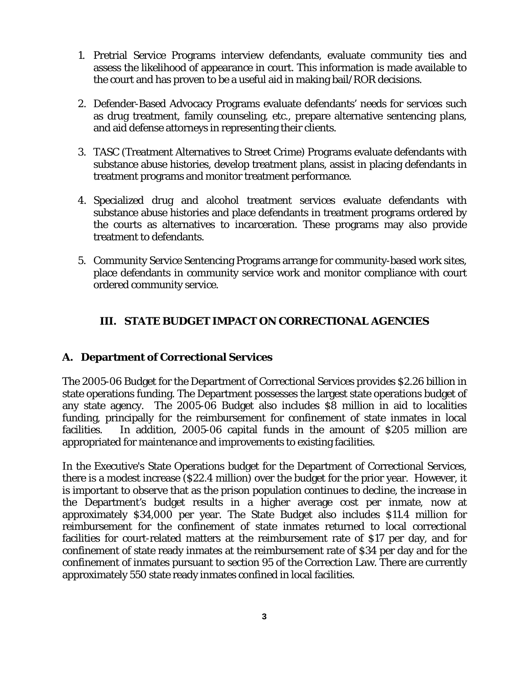- 1. Pretrial Service Programs interview defendants, evaluate community ties and assess the likelihood of appearance in court. This information is made available to the court and has proven to be a useful aid in making bail/ROR decisions.
- 2. Defender-Based Advocacy Programs evaluate defendants' needs for services such as drug treatment, family counseling, etc., prepare alternative sentencing plans, and aid defense attorneys in representing their clients.
- 3. TASC (Treatment Alternatives to Street Crime) Programs evaluate defendants with substance abuse histories, develop treatment plans, assist in placing defendants in treatment programs and monitor treatment performance.
- 4. Specialized drug and alcohol treatment services evaluate defendants with substance abuse histories and place defendants in treatment programs ordered by the courts as alternatives to incarceration. These programs may also provide treatment to defendants.
- 5. Community Service Sentencing Programs arrange for community-based work sites, place defendants in community service work and monitor compliance with court ordered community service.

## **III. STATE BUDGET IMPACT ON CORRECTIONAL AGENCIES**

#### **A. Department of Correctional Services**

The 2005-06 Budget for the Department of Correctional Services provides \$2.26 billion in state operations funding. The Department possesses the largest state operations budget of any state agency. The 2005-06 Budget also includes \$8 million in aid to localities funding, principally for the reimbursement for confinement of state inmates in local facilities. In addition, 2005-06 capital funds in the amount of \$205 million are appropriated for maintenance and improvements to existing facilities.

In the Executive's State Operations budget for the Department of Correctional Services, there is a modest increase (\$22.4 million) over the budget for the prior year. However, it is important to observe that as the prison population continues to decline, the increase in the Department's budget results in a higher average cost per inmate, now at approximately \$34,000 per year. The State Budget also includes \$11.4 million for reimbursement for the confinement of state inmates returned to local correctional facilities for court-related matters at the reimbursement rate of \$17 per day, and for confinement of state ready inmates at the reimbursement rate of \$34 per day and for the confinement of inmates pursuant to section 95 of the Correction Law. There are currently approximately 550 state ready inmates confined in local facilities.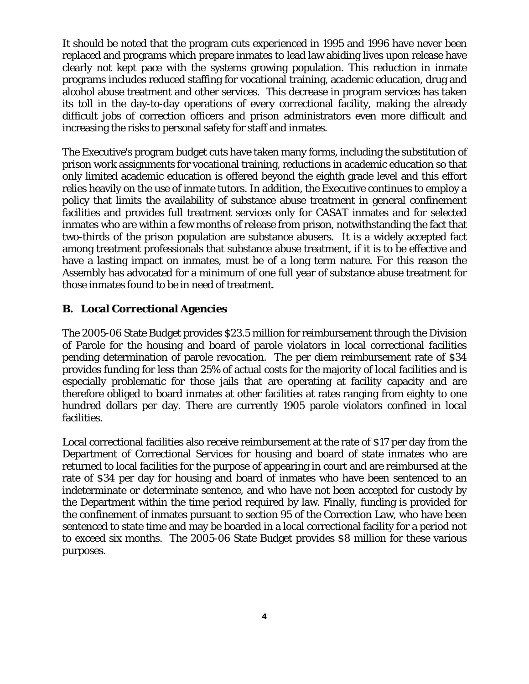It should be noted that the program cuts experienced in 1995 and 1996 have never been replaced and programs which prepare inmates to lead law abiding lives upon release have clearly not kept pace with the systems growing population. This reduction in inmate programs includes reduced staffing for vocational training, academic education, drug and alcohol abuse treatment and other services. This decrease in program services has taken its toll in the day-to-day operations of every correctional facility, making the already difficult jobs of correction officers and prison administrators even more difficult and increasing the risks to personal safety for staff and inmates.

The Executive's program budget cuts have taken many forms, including the substitution of prison work assignments for vocational training, reductions in academic education so that only limited academic education is offered beyond the eighth grade level and this effort relies heavily on the use of inmate tutors. In addition, the Executive continues to employ a policy that limits the availability of substance abuse treatment in general confinement facilities and provides full treatment services only for CASAT inmates and for selected inmates who are within a few months of release from prison, notwithstanding the fact that two-thirds of the prison population are substance abusers. It is a widely accepted fact among treatment professionals that substance abuse treatment, if it is to be effective and have a lasting impact on inmates, must be of a long term nature. For this reason the Assembly has advocated for a minimum of one full year of substance abuse treatment for those inmates found to be in need of treatment.

## **B. Local Correctional Agencies**

The 2005-06 State Budget provides \$23.5 million for reimbursement through the Division of Parole for the housing and board of parole violators in local correctional facilities pending determination of parole revocation. The per diem reimbursement rate of \$34 provides funding for less than 25% of actual costs for the majority of local facilities and is especially problematic for those jails that are operating at facility capacity and are therefore obliged to board inmates at other facilities at rates ranging from eighty to one hundred dollars per day. There are currently 1905 parole violators confined in local facilities.

Local correctional facilities also receive reimbursement at the rate of \$17 per day from the Department of Correctional Services for housing and board of state inmates who are returned to local facilities for the purpose of appearing in court and are reimbursed at the rate of \$34 per day for housing and board of inmates who have been sentenced to an indeterminate or determinate sentence, and who have not been accepted for custody by the Department within the time period required by law. Finally, funding is provided for the confinement of inmates pursuant to section 95 of the Correction Law, who have been sentenced to state time and may be boarded in a local correctional facility for a period not to exceed six months. The 2005-06 State Budget provides \$8 million for these various purposes.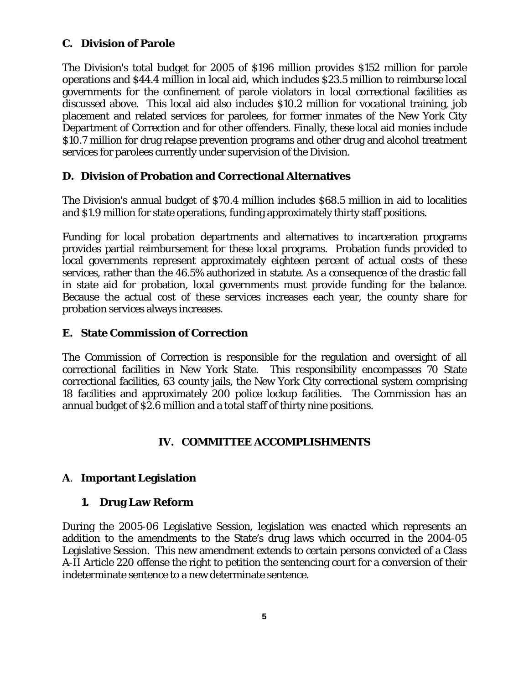#### **C. Division of Parole**

The Division's total budget for 2005 of \$196 million provides \$152 million for parole operations and \$44.4 million in local aid, which includes \$23.5 million to reimburse local governments for the confinement of parole violators in local correctional facilities as discussed above. This local aid also includes \$10.2 million for vocational training, job placement and related services for parolees, for former inmates of the New York City Department of Correction and for other offenders. Finally, these local aid monies include \$10.7 million for drug relapse prevention programs and other drug and alcohol treatment services for parolees currently under supervision of the Division.

## **D. Division of Probation and Correctional Alternatives**

The Division's annual budget of \$70.4 million includes \$68.5 million in aid to localities and \$1.9 million for state operations, funding approximately thirty staff positions.

Funding for local probation departments and alternatives to incarceration programs provides partial reimbursement for these local programs. Probation funds provided to local governments represent approximately eighteen percent of actual costs of these services, rather than the 46.5% authorized in statute. As a consequence of the drastic fall in state aid for probation, local governments must provide funding for the balance. Because the actual cost of these services increases each year, the county share for probation services always increases.

#### **E. State Commission of Correction**

The Commission of Correction is responsible for the regulation and oversight of all correctional facilities in New York State. This responsibility encompasses 70 State correctional facilities, 63 county jails, the New York City correctional system comprising 18 facilities and approximately 200 police lockup facilities. The Commission has an annual budget of \$2.6 million and a total staff of thirty nine positions.

#### **IV. COMMITTEE ACCOMPLISHMENTS**

## **A**. **Important Legislation**

#### **1. Drug Law Reform**

During the 2005-06 Legislative Session, legislation was enacted which represents an addition to the amendments to the State's drug laws which occurred in the 2004-05 Legislative Session. This new amendment extends to certain persons convicted of a Class A-II Article 220 offense the right to petition the sentencing court for a conversion of their indeterminate sentence to a new determinate sentence.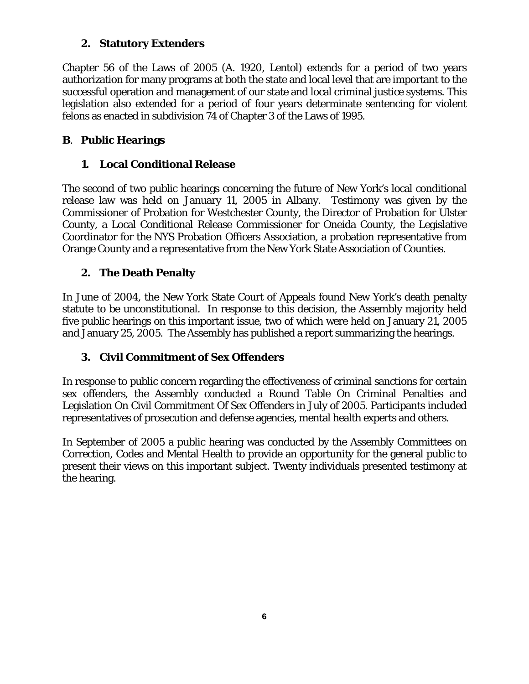## **2. Statutory Extenders**

Chapter 56 of the Laws of 2005 (A. 1920, Lentol) extends for a period of two years authorization for many programs at both the state and local level that are important to the successful operation and management of our state and local criminal justice systems. This legislation also extended for a period of four years determinate sentencing for violent felons as enacted in subdivision 74 of Chapter 3 of the Laws of 1995.

## **B**. **Public Hearings**

## **1. Local Conditional Release**

The second of two public hearings concerning the future of New York's local conditional release law was held on January 11, 2005 in Albany. Testimony was given by the Commissioner of Probation for Westchester County, the Director of Probation for Ulster County, a Local Conditional Release Commissioner for Oneida County, the Legislative Coordinator for the NYS Probation Officers Association, a probation representative from Orange County and a representative from the New York State Association of Counties.

## **2. The Death Penalty**

In June of 2004, the New York State Court of Appeals found New York's death penalty statute to be unconstitutional. In response to this decision, the Assembly majority held five public hearings on this important issue, two of which were held on January 21, 2005 and January 25, 2005. The Assembly has published a report summarizing the hearings.

## **3. Civil Commitment of Sex Offenders**

In response to public concern regarding the effectiveness of criminal sanctions for certain sex offenders, the Assembly conducted a Round Table On Criminal Penalties and Legislation On Civil Commitment Of Sex Offenders in July of 2005. Participants included representatives of prosecution and defense agencies, mental health experts and others.

In September of 2005 a public hearing was conducted by the Assembly Committees on Correction, Codes and Mental Health to provide an opportunity for the general public to present their views on this important subject. Twenty individuals presented testimony at the hearing.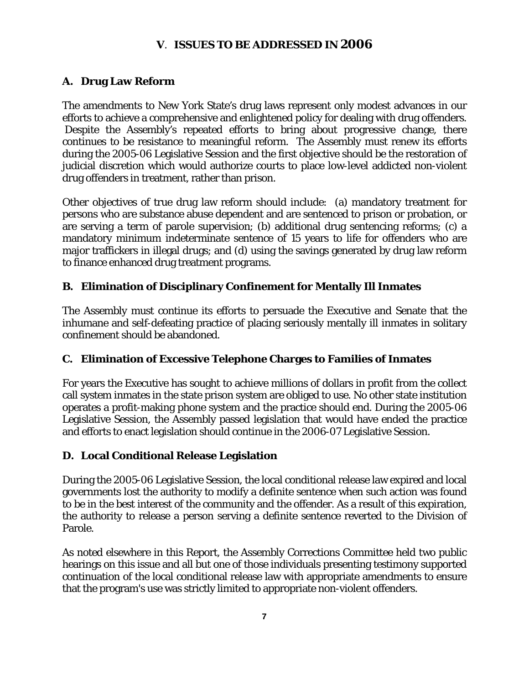#### **V**. **ISSUES TO BE ADDRESSED IN 2006**

#### **A. Drug Law Reform**

The amendments to New York State's drug laws represent only modest advances in our efforts to achieve a comprehensive and enlightened policy for dealing with drug offenders. Despite the Assembly's repeated efforts to bring about progressive change, there continues to be resistance to meaningful reform. The Assembly must renew its efforts during the 2005-06 Legislative Session and the first objective should be the restoration of judicial discretion which would authorize courts to place low-level addicted non-violent drug offenders in treatment, rather than prison.

Other objectives of true drug law reform should include: (a) mandatory treatment for persons who are substance abuse dependent and are sentenced to prison or probation, or are serving a term of parole supervision; (b) additional drug sentencing reforms; (c) a mandatory minimum indeterminate sentence of 15 years to life for offenders who are major traffickers in illegal drugs; and (d) using the savings generated by drug law reform to finance enhanced drug treatment programs.

## **B. Elimination of Disciplinary Confinement for Mentally Ill Inmates**

The Assembly must continue its efforts to persuade the Executive and Senate that the inhumane and self-defeating practice of placing seriously mentally ill inmates in solitary confinement should be abandoned.

#### **C. Elimination of Excessive Telephone Charges to Families of Inmates**

For years the Executive has sought to achieve millions of dollars in profit from the collect call system inmates in the state prison system are obliged to use. No other state institution operates a profit-making phone system and the practice should end. During the 2005-06 Legislative Session, the Assembly passed legislation that would have ended the practice and efforts to enact legislation should continue in the 2006-07 Legislative Session.

#### **D. Local Conditional Release Legislation**

During the 2005-06 Legislative Session, the local conditional release law expired and local governments lost the authority to modify a definite sentence when such action was found to be in the best interest of the community and the offender. As a result of this expiration, the authority to release a person serving a definite sentence reverted to the Division of Parole.

As noted elsewhere in this Report, the Assembly Corrections Committee held two public hearings on this issue and all but one of those individuals presenting testimony supported continuation of the local conditional release law with appropriate amendments to ensure that the program's use was strictly limited to appropriate non-violent offenders.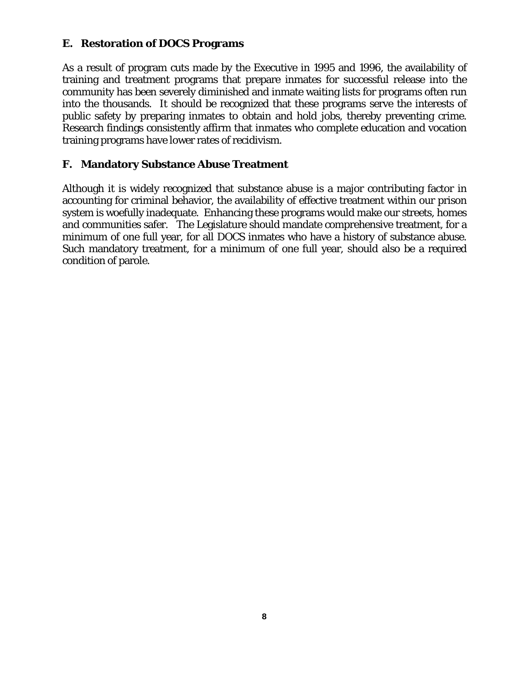#### **E. Restoration of DOCS Programs**

As a result of program cuts made by the Executive in 1995 and 1996, the availability of training and treatment programs that prepare inmates for successful release into the community has been severely diminished and inmate waiting lists for programs often run into the thousands. It should be recognized that these programs serve the interests of public safety by preparing inmates to obtain and hold jobs, thereby preventing crime. Research findings consistently affirm that inmates who complete education and vocation training programs have lower rates of recidivism.

#### **F. Mandatory Substance Abuse Treatment**

Although it is widely recognized that substance abuse is a major contributing factor in accounting for criminal behavior, the availability of effective treatment within our prison system is woefully inadequate. Enhancing these programs would make our streets, homes and communities safer. The Legislature should mandate comprehensive treatment, for a minimum of one full year, for all DOCS inmates who have a history of substance abuse. Such mandatory treatment, for a minimum of one full year, should also be a required condition of parole.